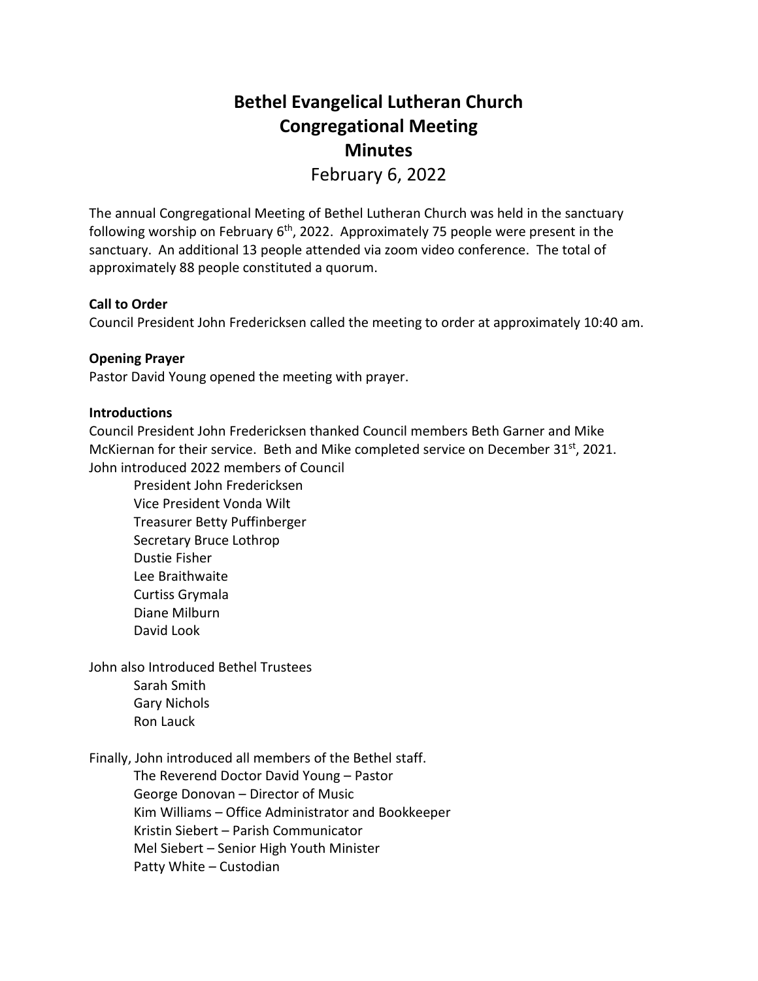# **Bethel Evangelical Lutheran Church Congregational Meeting Minutes** February 6, 2022

The annual Congregational Meeting of Bethel Lutheran Church was held in the sanctuary following worship on February 6<sup>th</sup>, 2022. Approximately 75 people were present in the sanctuary. An additional 13 people attended via zoom video conference. The total of approximately 88 people constituted a quorum.

# **Call to Order**

Council President John Fredericksen called the meeting to order at approximately 10:40 am.

## **Opening Prayer**

Pastor David Young opened the meeting with prayer.

### **Introductions**

Council President John Fredericksen thanked Council members Beth Garner and Mike McKiernan for their service. Beth and Mike completed service on December 31st, 2021. John introduced 2022 members of Council

President John Fredericksen Vice President Vonda Wilt Treasurer Betty Puffinberger Secretary Bruce Lothrop Dustie Fisher Lee Braithwaite Curtiss Grymala Diane Milburn David Look

John also Introduced Bethel Trustees

Sarah Smith Gary Nichols Ron Lauck

Finally, John introduced all members of the Bethel staff.

The Reverend Doctor David Young – Pastor George Donovan – Director of Music Kim Williams – Office Administrator and Bookkeeper Kristin Siebert – Parish Communicator Mel Siebert – Senior High Youth Minister Patty White – Custodian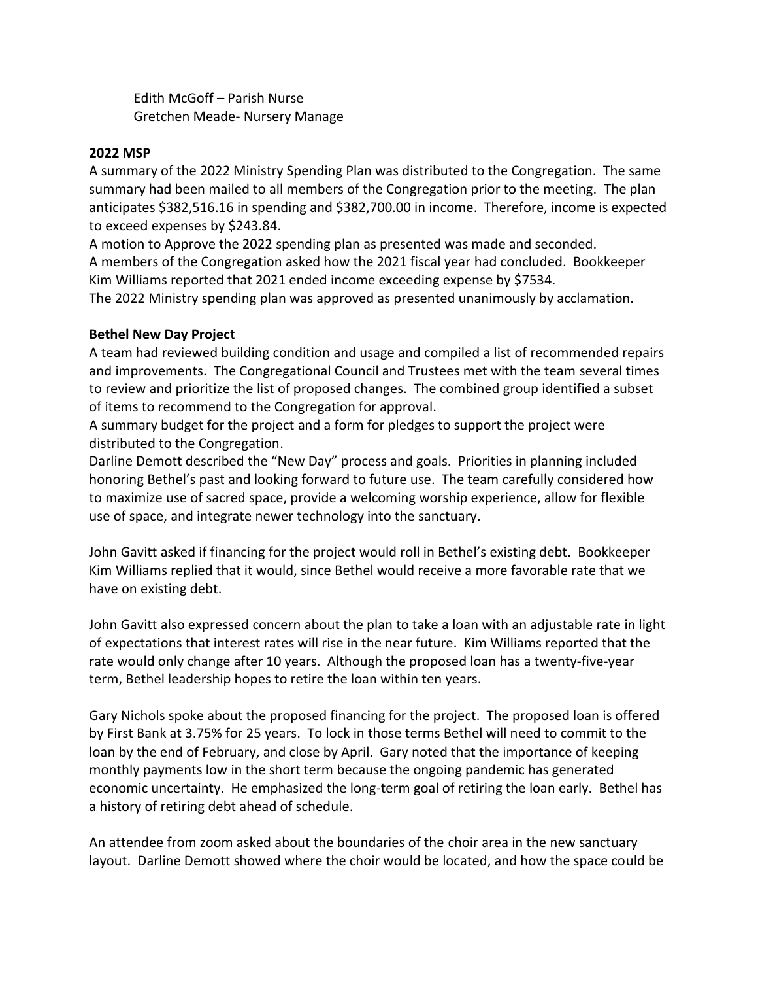Edith McGoff – Parish Nurse Gretchen Meade- Nursery Manage

# **2022 MSP**

A summary of the 2022 Ministry Spending Plan was distributed to the Congregation. The same summary had been mailed to all members of the Congregation prior to the meeting. The plan anticipates \$382,516.16 in spending and \$382,700.00 in income. Therefore, income is expected to exceed expenses by \$243.84.

A motion to Approve the 2022 spending plan as presented was made and seconded. A members of the Congregation asked how the 2021 fiscal year had concluded. Bookkeeper Kim Williams reported that 2021 ended income exceeding expense by \$7534. The 2022 Ministry spending plan was approved as presented unanimously by acclamation.

# **Bethel New Day Projec**t

A team had reviewed building condition and usage and compiled a list of recommended repairs and improvements. The Congregational Council and Trustees met with the team several times to review and prioritize the list of proposed changes. The combined group identified a subset of items to recommend to the Congregation for approval.

A summary budget for the project and a form for pledges to support the project were distributed to the Congregation.

Darline Demott described the "New Day" process and goals. Priorities in planning included honoring Bethel's past and looking forward to future use. The team carefully considered how to maximize use of sacred space, provide a welcoming worship experience, allow for flexible use of space, and integrate newer technology into the sanctuary.

John Gavitt asked if financing for the project would roll in Bethel's existing debt. Bookkeeper Kim Williams replied that it would, since Bethel would receive a more favorable rate that we have on existing debt.

John Gavitt also expressed concern about the plan to take a loan with an adjustable rate in light of expectations that interest rates will rise in the near future. Kim Williams reported that the rate would only change after 10 years. Although the proposed loan has a twenty-five-year term, Bethel leadership hopes to retire the loan within ten years.

Gary Nichols spoke about the proposed financing for the project. The proposed loan is offered by First Bank at 3.75% for 25 years. To lock in those terms Bethel will need to commit to the loan by the end of February, and close by April. Gary noted that the importance of keeping monthly payments low in the short term because the ongoing pandemic has generated economic uncertainty. He emphasized the long-term goal of retiring the loan early. Bethel has a history of retiring debt ahead of schedule.

An attendee from zoom asked about the boundaries of the choir area in the new sanctuary layout. Darline Demott showed where the choir would be located, and how the space could be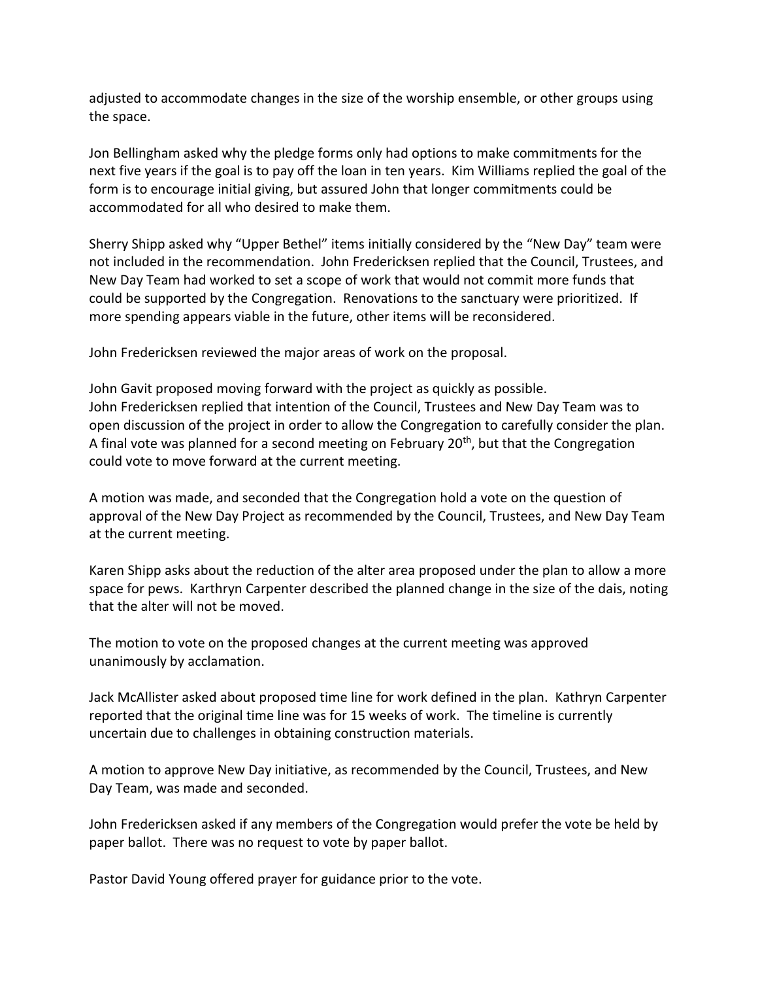adjusted to accommodate changes in the size of the worship ensemble, or other groups using the space.

Jon Bellingham asked why the pledge forms only had options to make commitments for the next five years if the goal is to pay off the loan in ten years. Kim Williams replied the goal of the form is to encourage initial giving, but assured John that longer commitments could be accommodated for all who desired to make them.

Sherry Shipp asked why "Upper Bethel" items initially considered by the "New Day" team were not included in the recommendation. John Fredericksen replied that the Council, Trustees, and New Day Team had worked to set a scope of work that would not commit more funds that could be supported by the Congregation. Renovations to the sanctuary were prioritized. If more spending appears viable in the future, other items will be reconsidered.

John Fredericksen reviewed the major areas of work on the proposal.

John Gavit proposed moving forward with the project as quickly as possible. John Fredericksen replied that intention of the Council, Trustees and New Day Team was to open discussion of the project in order to allow the Congregation to carefully consider the plan. A final vote was planned for a second meeting on February  $20<sup>th</sup>$ , but that the Congregation could vote to move forward at the current meeting.

A motion was made, and seconded that the Congregation hold a vote on the question of approval of the New Day Project as recommended by the Council, Trustees, and New Day Team at the current meeting.

Karen Shipp asks about the reduction of the alter area proposed under the plan to allow a more space for pews. Karthryn Carpenter described the planned change in the size of the dais, noting that the alter will not be moved.

The motion to vote on the proposed changes at the current meeting was approved unanimously by acclamation.

Jack McAllister asked about proposed time line for work defined in the plan. Kathryn Carpenter reported that the original time line was for 15 weeks of work. The timeline is currently uncertain due to challenges in obtaining construction materials.

A motion to approve New Day initiative, as recommended by the Council, Trustees, and New Day Team, was made and seconded.

John Fredericksen asked if any members of the Congregation would prefer the vote be held by paper ballot. There was no request to vote by paper ballot.

Pastor David Young offered prayer for guidance prior to the vote.